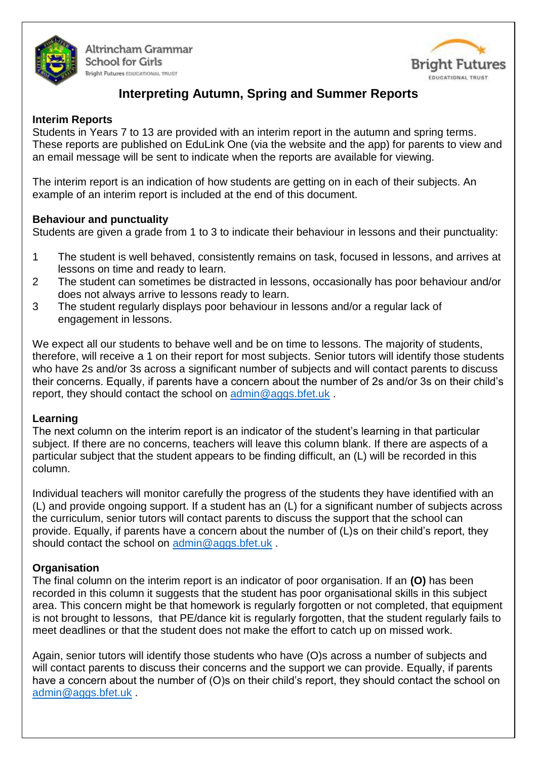

Altrincham Grammar **School for Girls Bright Futures** EDUCATIONAL TRUST



# **Interpreting Autumn, Spring and Summer Reports**

## **Interim Reports**

Students in Years 7 to 13 are provided with an interim report in the autumn and spring terms. These reports are published on EduLink One (via the website and the app) for parents to view and an email message will be sent to indicate when the reports are available for viewing.

The interim report is an indication of how students are getting on in each of their subjects. An example of an interim report is included at the end of this document.

## **Behaviour and punctuality**

Students are given a grade from 1 to 3 to indicate their behaviour in lessons and their punctuality:

- 1 The student is well behaved, consistently remains on task, focused in lessons, and arrives at lessons on time and ready to learn.
- 2 The student can sometimes be distracted in lessons, occasionally has poor behaviour and/or does not always arrive to lessons ready to learn.
- 3 The student regularly displays poor behaviour in lessons and/or a regular lack of engagement in lessons.

We expect all our students to behave well and be on time to lessons. The majority of students, therefore, will receive a 1 on their report for most subjects. Senior tutors will identify those students who have 2s and/or 3s across a significant number of subjects and will contact parents to discuss their concerns. Equally, if parents have a concern about the number of 2s and/or 3s on their child's report, they should contact the school on [admin@aggs.bfet.uk](mailto:admin@aggs.bfet.uk) .

## **Learning**

The next column on the interim report is an indicator of the student's learning in that particular subject. If there are no concerns, teachers will leave this column blank. If there are aspects of a particular subject that the student appears to be finding difficult, an (L) will be recorded in this column.

Individual teachers will monitor carefully the progress of the students they have identified with an (L) and provide ongoing support. If a student has an (L) for a significant number of subjects across the curriculum, senior tutors will contact parents to discuss the support that the school can provide. Equally, if parents have a concern about the number of (L)s on their child's report, they should contact the school on [admin@aggs.bfet.uk](mailto:admin@aggs.bfet.uk).

## **Organisation**

The final column on the interim report is an indicator of poor organisation. If an **(O)** has been recorded in this column it suggests that the student has poor organisational skills in this subject area. This concern might be that homework is regularly forgotten or not completed, that equipment is not brought to lessons, that PE/dance kit is regularly forgotten, that the student regularly fails to meet deadlines or that the student does not make the effort to catch up on missed work.

Again, senior tutors will identify those students who have (O)s across a number of subjects and will contact parents to discuss their concerns and the support we can provide. Equally, if parents have a concern about the number of (O)s on their child's report, they should contact the school on [admin@aggs.bfet.uk](mailto:admin@aggs.bfet.uk) .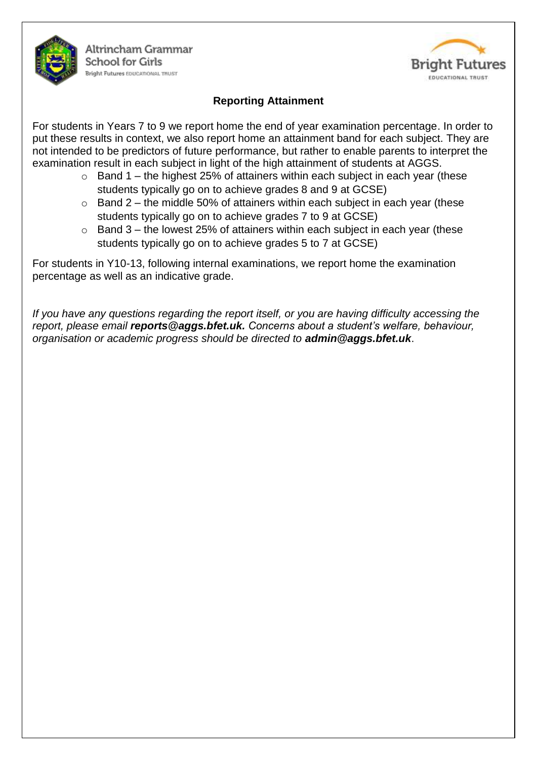

## **Reporting Attainment**

For students in Years 7 to 9 we report home the end of year examination percentage. In order to put these results in context, we also report home an attainment band for each subject. They are not intended to be predictors of future performance, but rather to enable parents to interpret the examination result in each subject in light of the high attainment of students at AGGS.

- $\circ$  Band 1 the highest 25% of attainers within each subject in each year (these students typically go on to achieve grades 8 and 9 at GCSE)
- $\circ$  Band 2 the middle 50% of attainers within each subject in each year (these students typically go on to achieve grades 7 to 9 at GCSE)
- $\circ$  Band 3 the lowest 25% of attainers within each subject in each year (these students typically go on to achieve grades 5 to 7 at GCSE)

For students in Y10-13, following internal examinations, we report home the examination percentage as well as an indicative grade.

*If you have any questions regarding the report itself, or you are having difficulty accessing the report, please email reports@aggs.bfet.uk. Concerns about a student's welfare, behaviour, organisation or academic progress should be directed to admin@aggs.bfet.uk*.